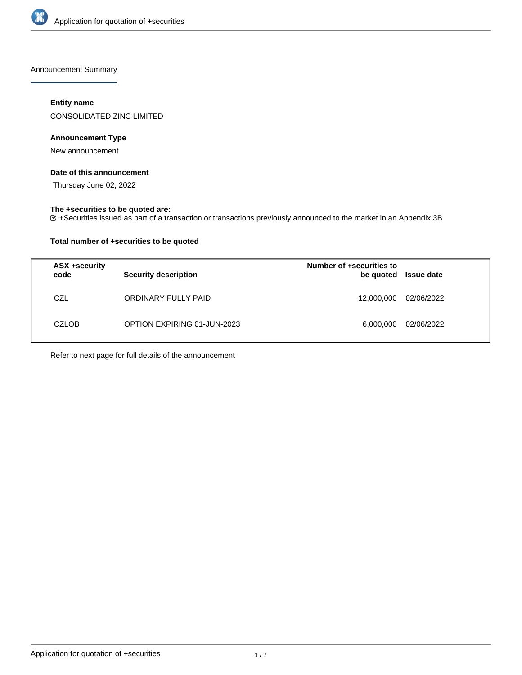

Announcement Summary

# **Entity name**

CONSOLIDATED ZINC LIMITED

# **Announcement Type**

New announcement

# **Date of this announcement**

Thursday June 02, 2022

### **The +securities to be quoted are:**

+Securities issued as part of a transaction or transactions previously announced to the market in an Appendix 3B

# **Total number of +securities to be quoted**

| ASX +security<br>code | <b>Security description</b> | Number of +securities to<br>be quoted | <b>Issue date</b> |
|-----------------------|-----------------------------|---------------------------------------|-------------------|
| CZL                   | ORDINARY FULLY PAID         | 12,000,000                            | 02/06/2022        |
| <b>CZLOB</b>          | OPTION EXPIRING 01-JUN-2023 | 6,000,000                             | 02/06/2022        |

Refer to next page for full details of the announcement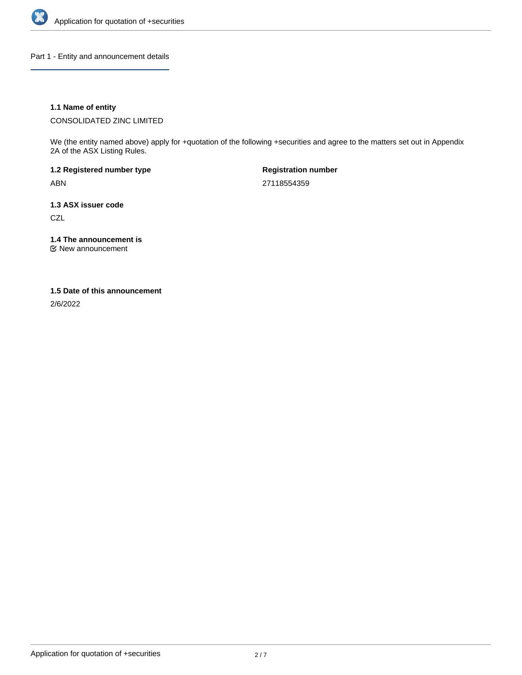

Part 1 - Entity and announcement details

# **1.1 Name of entity**

CONSOLIDATED ZINC LIMITED

We (the entity named above) apply for +quotation of the following +securities and agree to the matters set out in Appendix 2A of the ASX Listing Rules.

**1.2 Registered number type** ABN

**Registration number** 27118554359

**1.3 ASX issuer code CZL** 

**1.4 The announcement is**

New announcement

#### **1.5 Date of this announcement**

2/6/2022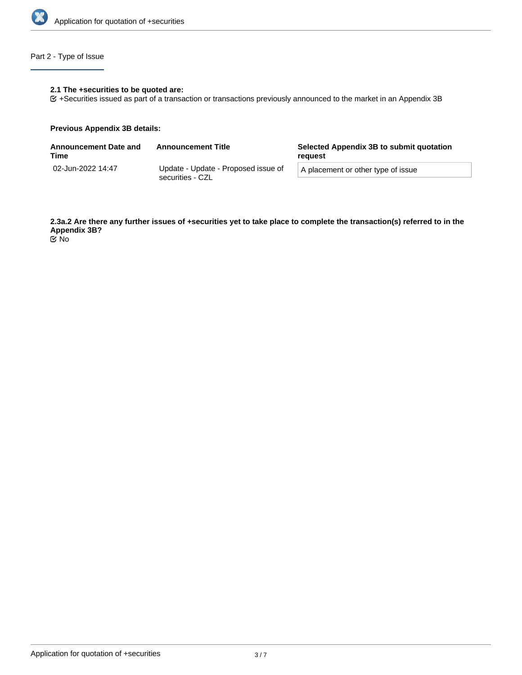

# Part 2 - Type of Issue

# **2.1 The +securities to be quoted are:**

+Securities issued as part of a transaction or transactions previously announced to the market in an Appendix 3B

#### **Previous Appendix 3B details:**

| <b>Announcement Date and</b><br>Time | <b>Announcement Title</b>                               | Selected Appendix 3B to submit quotation<br>reauest |  |
|--------------------------------------|---------------------------------------------------------|-----------------------------------------------------|--|
| 02-Jun-2022 14:47                    | Update - Update - Proposed issue of<br>securities - CZL | A placement or other type of issue                  |  |

**2.3a.2 Are there any further issues of +securities yet to take place to complete the transaction(s) referred to in the Appendix 3B?** No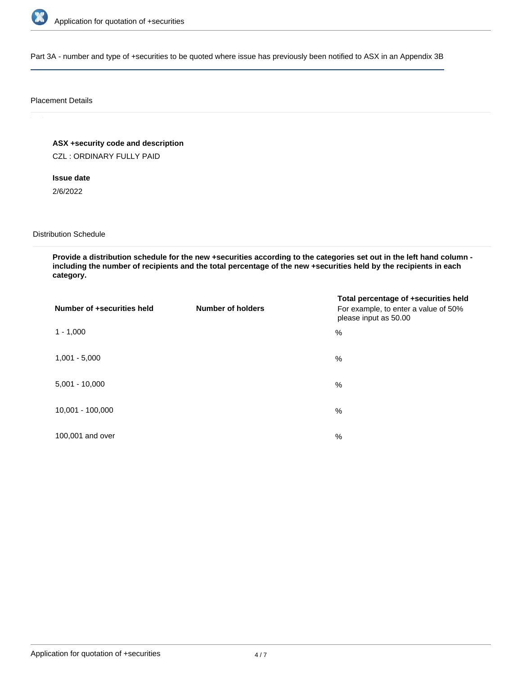

Part 3A - number and type of +securities to be quoted where issue has previously been notified to ASX in an Appendix 3B

#### Placement Details

**ASX +security code and description**

CZL : ORDINARY FULLY PAID

**Issue date**

2/6/2022

Distribution Schedule

**Provide a distribution schedule for the new +securities according to the categories set out in the left hand column including the number of recipients and the total percentage of the new +securities held by the recipients in each category.**

| Number of +securities held | <b>Number of holders</b> | Total percentage of +securities held<br>For example, to enter a value of 50%<br>please input as 50.00 |
|----------------------------|--------------------------|-------------------------------------------------------------------------------------------------------|
| $1 - 1,000$                |                          | %                                                                                                     |
| $1,001 - 5,000$            |                          | $\%$                                                                                                  |
| $5,001 - 10,000$           |                          | %                                                                                                     |
| 10,001 - 100,000           |                          | $\%$                                                                                                  |
| 100,001 and over           |                          | $\%$                                                                                                  |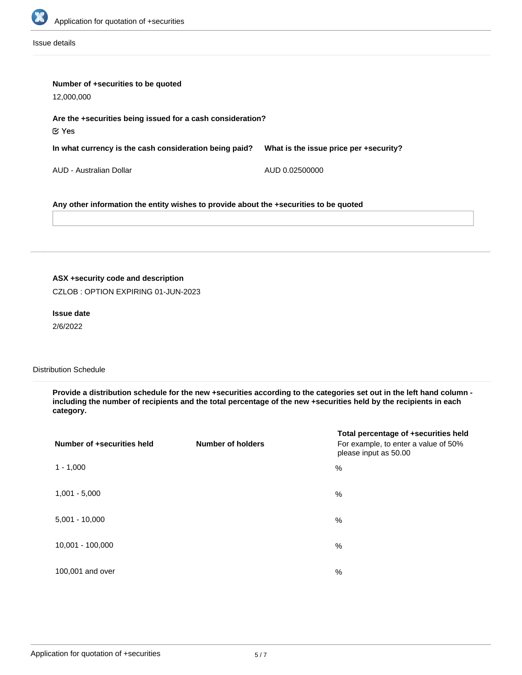

Issue details

| Number of +securities to be quoted<br>12,000,000                                      |                                        |  |  |
|---------------------------------------------------------------------------------------|----------------------------------------|--|--|
| Are the +securities being issued for a cash consideration?<br>$\mathfrak C$ Yes       |                                        |  |  |
| In what currency is the cash consideration being paid?                                | What is the issue price per +security? |  |  |
| AUD - Australian Dollar                                                               | AUD 0.02500000                         |  |  |
| Any other information the entity wishes to provide about the +securities to be quoted |                                        |  |  |

# **ASX +security code and description**

CZLOB : OPTION EXPIRING 01-JUN-2023

#### **Issue date**

2/6/2022

### Distribution Schedule

**Provide a distribution schedule for the new +securities according to the categories set out in the left hand column including the number of recipients and the total percentage of the new +securities held by the recipients in each category.**

| Number of +securities held | <b>Number of holders</b> | Total percentage of +securities held<br>For example, to enter a value of 50%<br>please input as 50.00 |
|----------------------------|--------------------------|-------------------------------------------------------------------------------------------------------|
| $1 - 1,000$                |                          | %                                                                                                     |
| $1,001 - 5,000$            |                          | %                                                                                                     |
| $5,001 - 10,000$           |                          | %                                                                                                     |
| 10,001 - 100,000           |                          | %                                                                                                     |
| 100,001 and over           |                          | %                                                                                                     |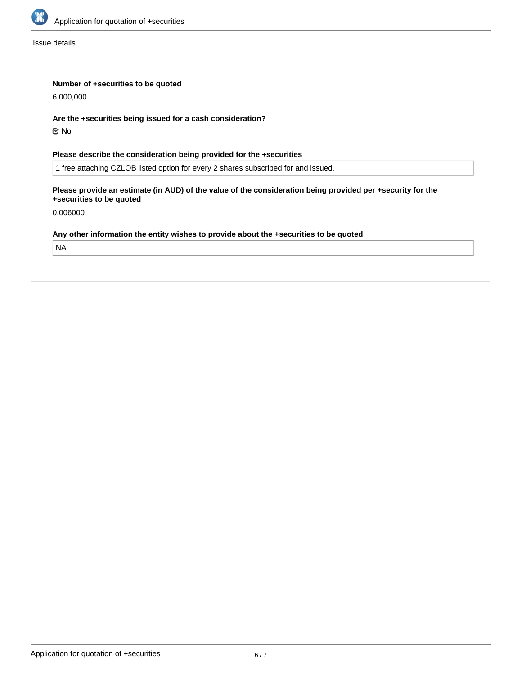

Issue details

# **Number of +securities to be quoted**

6,000,000

#### **Are the +securities being issued for a cash consideration?**

No

# **Please describe the consideration being provided for the +securities**

1 free attaching CZLOB listed option for every 2 shares subscribed for and issued.

# **Please provide an estimate (in AUD) of the value of the consideration being provided per +security for the +securities to be quoted**

0.006000

# **Any other information the entity wishes to provide about the +securities to be quoted**

NA